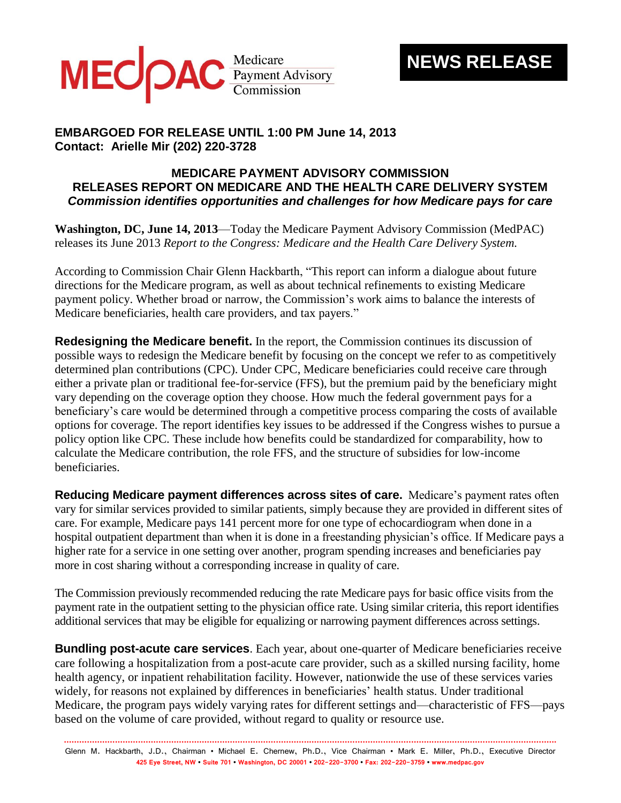

## **NEWS RELEASE**

## **EMBARGOED FOR RELEASE UNTIL 1:00 PM June 14, 2013 Contact: Arielle Mir (202) 220-3728**

## **MEDICARE PAYMENT ADVISORY COMMISSION RELEASES REPORT ON MEDICARE AND THE HEALTH CARE DELIVERY SYSTEM** *Commission identifies opportunities and challenges for how Medicare pays for care*

**Washington, DC, June 14, 2013**—Today the Medicare Payment Advisory Commission (MedPAC) releases its June 2013 *Report to the Congress: Medicare and the Health Care Delivery System.*

According to Commission Chair Glenn Hackbarth, "This report can inform a dialogue about future directions for the Medicare program, as well as about technical refinements to existing Medicare payment policy. Whether broad or narrow, the Commission's work aims to balance the interests of Medicare beneficiaries, health care providers, and tax payers."

**Redesigning the Medicare benefit.** In the report, the Commission continues its discussion of possible ways to redesign the Medicare benefit by focusing on the concept we refer to as competitively determined plan contributions (CPC). Under CPC, Medicare beneficiaries could receive care through either a private plan or traditional fee-for-service (FFS), but the premium paid by the beneficiary might vary depending on the coverage option they choose. How much the federal government pays for a beneficiary's care would be determined through a competitive process comparing the costs of available options for coverage. The report identifies key issues to be addressed if the Congress wishes to pursue a policy option like CPC. These include how benefits could be standardized for comparability, how to calculate the Medicare contribution, the role FFS, and the structure of subsidies for low-income beneficiaries.

**Reducing Medicare payment differences across sites of care.** Medicare's payment rates often vary for similar services provided to similar patients, simply because they are provided in different sites of care. For example, Medicare pays 141 percent more for one type of echocardiogram when done in a hospital outpatient department than when it is done in a freestanding physician's office. If Medicare pays a higher rate for a service in one setting over another, program spending increases and beneficiaries pay more in cost sharing without a corresponding increase in quality of care.

The Commission previously recommended reducing the rate Medicare pays for basic office visits from the payment rate in the outpatient setting to the physician office rate. Using similar criteria, this report identifies additional services that may be eligible for equalizing or narrowing payment differences across settings.

**Bundling post-acute care services**. Each year, about one-quarter of Medicare beneficiaries receive care following a hospitalization from a post-acute care provider, such as a skilled nursing facility, home health agency, or inpatient rehabilitation facility. However, nationwide the use of these services varies widely, for reasons not explained by differences in beneficiaries' health status. Under traditional Medicare, the program pays widely varying rates for different settings and—characteristic of FFS—pays based on the volume of care provided, without regard to quality or resource use.

**.................................................................................................................................................................................................** Glenn M. Hackbarth, J.D., Chairman • Michael E. Chernew, Ph.D., Vice Chairman • Mark E. Miller, Ph.D., Executive Director **425 Eye Street, NW • Suite 701 • Washington, DC 20001 • 202-220-3700 • Fax: 202-220-3759 • www.medpac.gov**